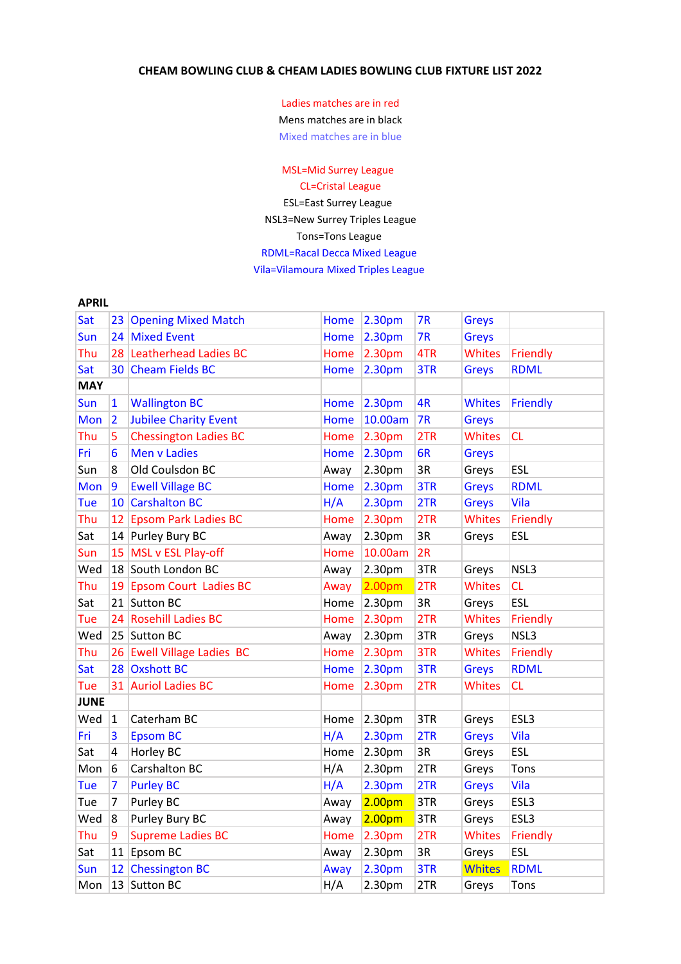## **CHEAM BOWLING CLUB & CHEAM LADIES BOWLING CLUB FIXTURE LIST 2022**

Ladies matches are in red Mens matches are in black Mixed matches are in blue

MSL=Mid Surrey League CL=Cristal League ESL=East Surrey League NSL3=New Surrey Triples League Tons=Tons League RDML=Racal Decca Mixed League Vila=Vilamoura Mixed Triples League

## **APRIL**

| Sat         | 23              | <b>Opening Mixed Match</b>     | Home        | 2.30pm             | 7R  | <b>Greys</b>  |             |
|-------------|-----------------|--------------------------------|-------------|--------------------|-----|---------------|-------------|
| Sun         | 24              | <b>Mixed Event</b>             | <b>Home</b> | 2.30pm             | 7R  | <b>Greys</b>  |             |
| Thu         | 28              | <b>Leatherhead Ladies BC</b>   | Home        | 2.30pm             | 4TR | Whites        | Friendly    |
| Sat         |                 | 30 Cheam Fields BC             | Home        | 2.30 <sub>pm</sub> | 3TR | <b>Greys</b>  | <b>RDML</b> |
| <b>MAY</b>  |                 |                                |             |                    |     |               |             |
| Sun         | $\mathbf{1}$    | <b>Wallington BC</b>           | Home        | 2.30pm             | 4R  | <b>Whites</b> | Friendly    |
| Mon         | $\overline{2}$  | <b>Jubilee Charity Event</b>   | Home        | 10.00am            | 7R  | <b>Greys</b>  |             |
| Thu         | 5               | <b>Chessington Ladies BC</b>   | Home        | 2.30pm             | 2TR | Whites        | CL          |
| Fri         | 6               | <b>Men v Ladies</b>            | Home        | 2.30pm             | 6R  | <b>Greys</b>  |             |
| Sun         | 8               | Old Coulsdon BC                | Away        | 2.30pm             | 3R  | Greys         | <b>ESL</b>  |
| Mon         | 9               | <b>Ewell Village BC</b>        | Home        | 2.30pm             | 3TR | <b>Greys</b>  | <b>RDML</b> |
| <b>Tue</b>  |                 | 10 Carshalton BC               | H/A         | 2.30pm             | 2TR | <b>Greys</b>  | Vila        |
| Thu         |                 | 12 Epsom Park Ladies BC        | Home        | 2.30pm             | 2TR | <b>Whites</b> | Friendly    |
| Sat         |                 | 14 Purley Bury BC              | Away        | 2.30pm             | 3R  | Greys         | <b>ESL</b>  |
| Sun         | 15              | MSL v ESL Play-off             | Home        | 10.00am            | 2R  |               |             |
| Wed         |                 | 18 South London BC             | Away        | 2.30pm             | 3TR | Greys         | NSL3        |
| Thu         | 19              | <b>Epsom Court Ladies BC</b>   | Away        | 2.00pm             | 2TR | <b>Whites</b> | CL          |
| Sat         |                 | 21 Sutton BC                   | Home        | 2.30pm             | 3R  | Greys         | ESL         |
| Tue         |                 | 24 Rosehill Ladies BC          | Home        | 2.30pm             | 2TR | <b>Whites</b> | Friendly    |
| Wed         |                 | 25 Sutton BC                   | Away        | 2.30pm             | 3TR | Greys         | NSL3        |
| Thu         | 26              | <b>Ewell Village Ladies BC</b> | Home        | 2.30pm             | 3TR | Whites        | Friendly    |
| Sat         | 28              | <b>Oxshott BC</b>              | Home        | 2.30pm             | 3TR | <b>Greys</b>  | <b>RDML</b> |
| Tue         | 31              | <b>Auriol Ladies BC</b>        | Home        | 2.30pm             | 2TR | Whites        | CL          |
| <b>JUNE</b> |                 |                                |             |                    |     |               |             |
| Wed         | $\mathbf{1}$    | Caterham BC                    | Home        | 2.30pm             | 3TR | Greys         | ESL3        |
| Fri         | 3               | <b>Epsom BC</b>                | H/A         | 2.30pm             | 2TR | <b>Greys</b>  | Vila        |
| Sat         | 4               | Horley BC                      | Home        | 2.30pm             | 3R  | Greys         | <b>ESL</b>  |
| Mon         | 6               | Carshalton BC                  | H/A         | 2.30pm             | 2TR | Greys         | Tons        |
| <b>Tue</b>  | 7               | <b>Purley BC</b>               | H/A         | 2.30pm             | 2TR | <b>Greys</b>  | Vila        |
| Tue         | 7               | Purley BC                      | Away        | 2.00 <sub>pm</sub> | 3TR | Greys         | ESL3        |
| Wed         | 8               | Purley Bury BC                 | Away        | 2.00 <sub>pm</sub> | 3TR | Greys         | ESL3        |
| Thu         | 9               | <b>Supreme Ladies BC</b>       | Home        | 2.30pm             | 2TR | <b>Whites</b> | Friendly    |
| Sat         |                 | 11 Epsom BC                    | Away        | 2.30pm             | 3R  | Greys         | ESL         |
| Sun         | 12 <sup>2</sup> | <b>Chessington BC</b>          | Away        | 2.30pm             | 3TR | <b>Whites</b> | <b>RDML</b> |
| Mon         |                 | 13 Sutton BC                   | H/A         | 2.30pm             | 2TR | Greys         | Tons        |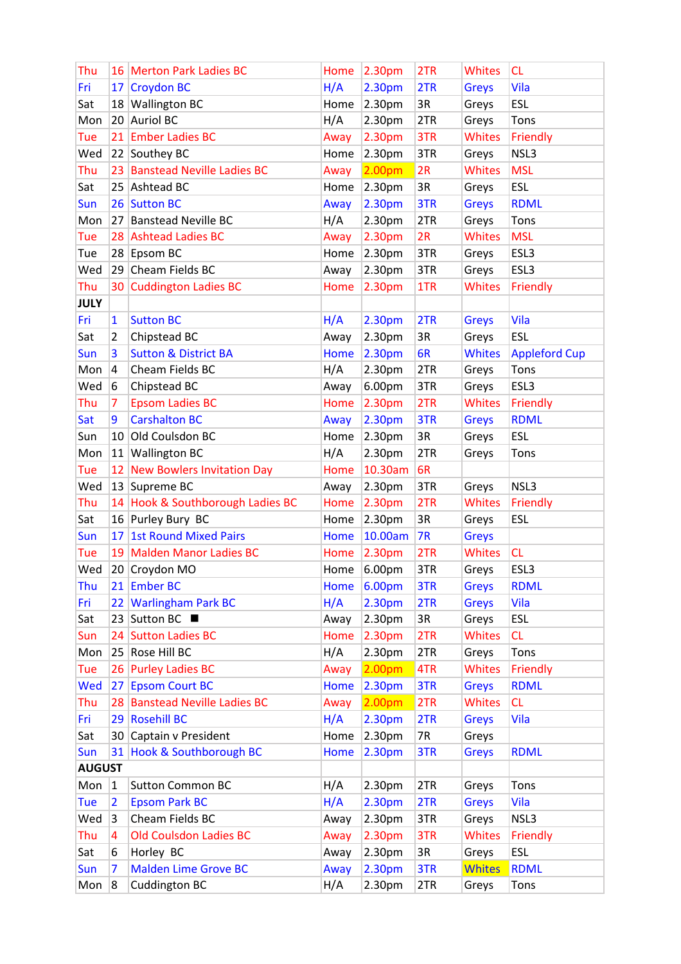| Thu           |                 | 16 Merton Park Ladies BC          | Home | 2.30pm             | 2TR | Whites        | <b>CL</b>            |
|---------------|-----------------|-----------------------------------|------|--------------------|-----|---------------|----------------------|
| Fri           | 17 <sup>1</sup> | <b>Croydon BC</b>                 | H/A  | 2.30 <sub>pm</sub> | 2TR | <b>Greys</b>  | Vila                 |
| Sat           |                 | 18 Wallington BC                  | Home | 2.30pm             | 3R  | Greys         | <b>ESL</b>           |
| Mon           | 20 <sup>1</sup> | <b>Auriol BC</b>                  | H/A  | 2.30pm             | 2TR | Greys         | Tons                 |
| <b>Tue</b>    |                 | 21 Ember Ladies BC                | Away | 2.30pm             | 3TR | Whites        | Friendly             |
| Wed           |                 | 22 Southey BC                     | Home | 2.30pm             | 3TR | Greys         | NSL3                 |
| Thu           | 23              | <b>Banstead Neville Ladies BC</b> | Away | 2.00pm             | 2R  | <b>Whites</b> | <b>MSL</b>           |
| Sat           |                 | 25 Ashtead BC                     | Home | 2.30pm             | 3R  | Greys         | <b>ESL</b>           |
| Sun           | 26 <sup>1</sup> | <b>Sutton BC</b>                  | Away | 2.30 <sub>pm</sub> | 3TR | <b>Greys</b>  | <b>RDML</b>          |
| Mon           | 27 <sup>1</sup> | <b>Banstead Neville BC</b>        | H/A  | 2.30pm             | 2TR | Greys         | Tons                 |
| Tue           |                 | 28 Ashtead Ladies BC              | Away | 2.30pm             | 2R  | <b>Whites</b> | <b>MSL</b>           |
| Tue           |                 | 28 Epsom BC                       | Home | 2.30pm             | 3TR | Greys         | ESL3                 |
| Wed           |                 | 29 Cheam Fields BC                | Away | 2.30pm             | 3TR | Greys         | ESL3                 |
| Thu           | 30              | <b>Cuddington Ladies BC</b>       | Home | 2.30 <sub>pm</sub> | 1TR | Whites        | Friendly             |
| <b>JULY</b>   |                 |                                   |      |                    |     |               |                      |
| Fri           | $\mathbf{1}$    | <b>Sutton BC</b>                  | H/A  | 2.30pm             | 2TR | <b>Greys</b>  | Vila                 |
| Sat           | $\overline{2}$  | Chipstead BC                      | Away | 2.30pm             | 3R  | Greys         | <b>ESL</b>           |
| Sun           | 3               | <b>Sutton &amp; District BA</b>   | Home | 2.30pm             | 6R  | <b>Whites</b> | <b>Appleford Cup</b> |
| Mon           | 4               | Cheam Fields BC                   | H/A  | 2.30pm             | 2TR | Greys         | Tons                 |
| Wed           | 6               | Chipstead BC                      | Away | 6.00pm             | 3TR | Greys         | ESL3                 |
| Thu           | 7               | <b>Epsom Ladies BC</b>            | Home | 2.30 <sub>pm</sub> | 2TR | <b>Whites</b> | Friendly             |
| Sat           | 9               | <b>Carshalton BC</b>              | Away | 2.30pm             | 3TR | <b>Greys</b>  | <b>RDML</b>          |
| Sun           | 10 <sup>1</sup> | Old Coulsdon BC                   | Home | 2.30pm             | 3R  | Greys         | <b>ESL</b>           |
| Mon           |                 | 11 Wallington BC                  | H/A  | 2.30pm             | 2TR | Greys         | Tons                 |
| Tue           |                 | 12 New Bowlers Invitation Day     | Home | 10.30am            | 6R  |               |                      |
|               |                 |                                   |      |                    |     |               |                      |
| Wed           |                 | 13 Supreme BC                     | Away | 2.30pm             | 3TR | Greys         | NSL3                 |
| Thu           |                 | 14 Hook & Southborough Ladies BC  | Home | 2.30pm             | 2TR | <b>Whites</b> | Friendly             |
| Sat           |                 | 16 Purley Bury BC                 | Home | 2.30pm             | 3R  | Greys         | <b>ESL</b>           |
| Sun           | 17              | <b>1st Round Mixed Pairs</b>      | Home | 10.00am            | 7R  | Greys         |                      |
| Tue           | 19              | <b>Malden Manor Ladies BC</b>     | Home | 2.30pm             | 2TR | <b>Whites</b> | <b>CL</b>            |
| Wed           |                 | 20 Croydon MO                     | Home | 6.00pm             | 3TR | Greys         | ESL3                 |
| Thu           | 21              | <b>Ember BC</b>                   | Home | 6.00pm             | 3TR | <b>Greys</b>  | <b>RDML</b>          |
| Fri           | 22              | <b>Warlingham Park BC</b>         | H/A  | 2.30 <sub>pm</sub> | 2TR | <b>Greys</b>  | Vila                 |
| Sat           | 23              | Sutton BC ■                       | Away | 2.30pm             | 3R  | Greys         | ESL                  |
| Sun           | 24              | <b>Sutton Ladies BC</b>           | Home | 2.30 <sub>pm</sub> | 2TR | <b>Whites</b> | CL                   |
| Mon           | 25              | Rose Hill BC                      | H/A  | 2.30pm             | 2TR | Greys         | Tons                 |
| Tue           | 26              | <b>Purley Ladies BC</b>           | Away | 2.00pm             | 4TR | <b>Whites</b> | Friendly             |
| Wed           | 27              | <b>Epsom Court BC</b>             | Home | 2.30 <sub>pm</sub> | 3TR | <b>Greys</b>  | <b>RDML</b>          |
| Thu           | 28              | <b>Banstead Neville Ladies BC</b> | Away | 2.00pm             | 2TR | <b>Whites</b> | CL.                  |
| Fri           | 29              | <b>Rosehill BC</b>                | H/A  | 2.30 <sub>pm</sub> | 2TR | <b>Greys</b>  | Vila                 |
| Sat           | 30              | Captain v President               | Home | 2.30pm             | 7R  | Greys         |                      |
| Sun           | 31              | Hook & Southborough BC            | Home | 2.30pm             | 3TR | <b>Greys</b>  | <b>RDML</b>          |
| <b>AUGUST</b> |                 |                                   |      |                    |     |               |                      |
| Mon           | $\mathbf{1}$    | <b>Sutton Common BC</b>           | H/A  | 2.30pm             | 2TR | Greys         | Tons                 |
| Tue           | $\overline{2}$  | <b>Epsom Park BC</b>              | H/A  | 2.30 <sub>pm</sub> | 2TR | <b>Greys</b>  | Vila                 |
| Wed           | 3               | Cheam Fields BC                   | Away | 2.30pm             | 3TR | Greys         | NSL3                 |
| Thu           | 4               | Old Coulsdon Ladies BC            | Away | 2.30pm             | 3TR | Whites        | Friendly             |
| Sat           | 6               | Horley BC                         | Away | 2.30pm             | 3R  | Greys         | <b>ESL</b>           |
| Sun           | 7               | <b>Malden Lime Grove BC</b>       | Away | 2.30pm             | 3TR | <b>Whites</b> | <b>RDML</b>          |